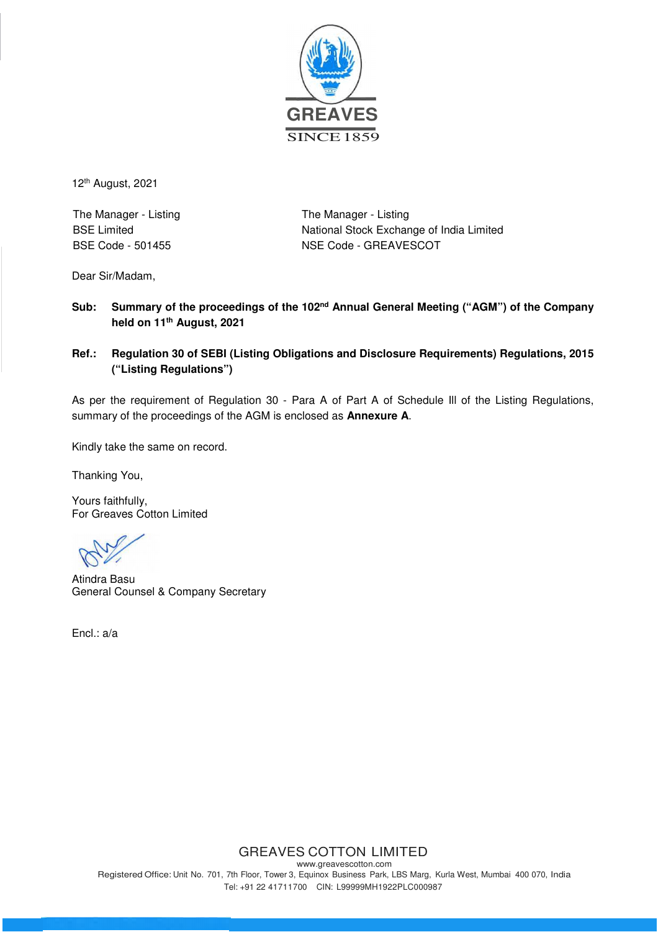

12th August, 2021

The Manager - Listing The Manager - Listing

BSE Limited **National Stock Exchange of India Limited** BSE Code - 501455 NSE Code - GREAVESCOT

Dear Sir/Madam,

### **Sub: Summary of the proceedings of the 102nd Annual General Meeting ("AGM") of the Company held on 11th August, 2021**

**Ref.: Regulation 30 of SEBI (Listing Obligations and Disclosure Requirements) Regulations, 2015 ("Listing Regulations")** 

As per the requirement of Regulation 30 - Para A of Part A of Schedule Ill of the Listing Regulations, summary of the proceedings of the AGM is enclosed as **Annexure A**.

Kindly take the same on record.

Thanking You,

Yours faithfully, For Greaves Cotton Limited

Atindra Basu General Counsel & Company Secretary

Encl.: a/a

# GREAVES COTTON LIMITED

www.greavescotton.com Registered Office: Unit No. 701, 7th Floor, Tower 3, Equinox Business Park, LBS Marg, Kurla West, Mumbai 400 070, India Tel: +91 22 41711700 CIN: L99999MH1922PLC000987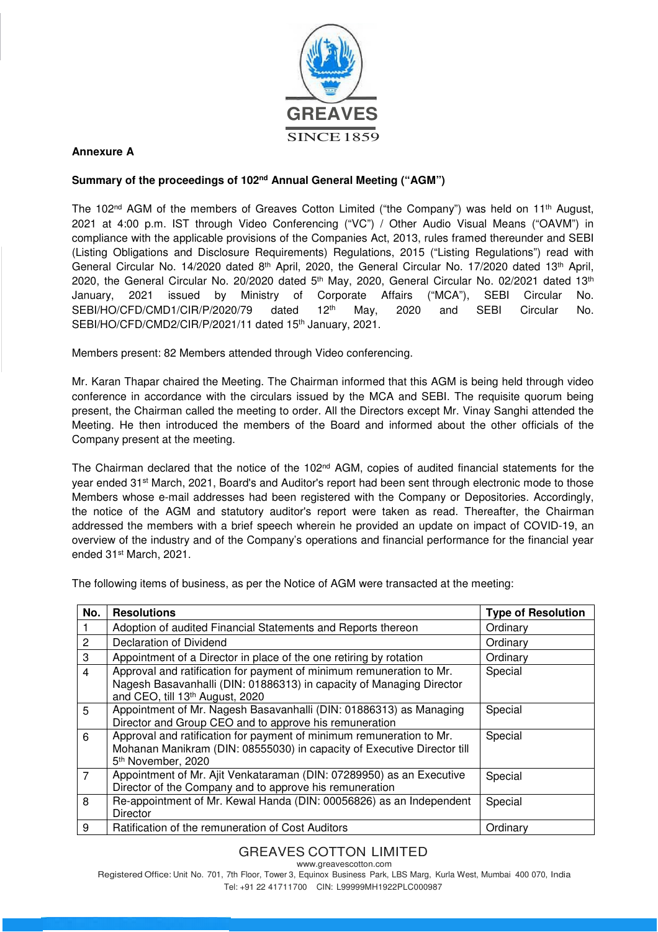

### **Annexure A**

#### **Summary of the proceedings of 102nd Annual General Meeting ("AGM")**

The 102<sup>nd</sup> AGM of the members of Greaves Cotton Limited ("the Company") was held on 11<sup>th</sup> August, 2021 at 4:00 p.m. IST through Video Conferencing ("VC") / Other Audio Visual Means ("OAVM") in compliance with the applicable provisions of the Companies Act, 2013, rules framed thereunder and SEBI (Listing Obligations and Disclosure Requirements) Regulations, 2015 ("Listing Regulations") read with General Circular No. 14/2020 dated 8<sup>th</sup> April, 2020, the General Circular No. 17/2020 dated 13<sup>th</sup> April, 2020, the General Circular No. 20/2020 dated  $5<sup>th</sup>$  May, 2020, General Circular No. 02/2021 dated 13<sup>th</sup> January, 2021 issued by Ministry of Corporate Affairs ("MCA"), SEBI Circular No. SEBI/HO/CFD/CMD1/CIR/P/2020/79 dated 12<sup>th</sup> May, 2020 and SEBI Circular No. SEBI/HO/CFD/CMD2/CIR/P/2021/11 dated 15<sup>th</sup> January, 2021.

Members present: 82 Members attended through Video conferencing.

Mr. Karan Thapar chaired the Meeting. The Chairman informed that this AGM is being held through video conference in accordance with the circulars issued by the MCA and SEBI. The requisite quorum being present, the Chairman called the meeting to order. All the Directors except Mr. Vinay Sanghi attended the Meeting. He then introduced the members of the Board and informed about the other officials of the Company present at the meeting.

The Chairman declared that the notice of the 102<sup>nd</sup> AGM, copies of audited financial statements for the year ended 31st March, 2021, Board's and Auditor's report had been sent through electronic mode to those Members whose e-mail addresses had been registered with the Company or Depositories. Accordingly, the notice of the AGM and statutory auditor's report were taken as read. Thereafter, the Chairman addressed the members with a brief speech wherein he provided an update on impact of COVID-19, an overview of the industry and of the Company's operations and financial performance for the financial year ended 31st March, 2021.

The following items of business, as per the Notice of AGM were transacted at the meeting:

| No.            | <b>Resolutions</b>                                                                                                                                                                          | <b>Type of Resolution</b> |
|----------------|---------------------------------------------------------------------------------------------------------------------------------------------------------------------------------------------|---------------------------|
|                | Adoption of audited Financial Statements and Reports thereon                                                                                                                                | Ordinary                  |
| $\overline{2}$ | Declaration of Dividend                                                                                                                                                                     | Ordinary                  |
| 3              | Appointment of a Director in place of the one retiring by rotation                                                                                                                          | Ordinary                  |
| $\overline{4}$ | Approval and ratification for payment of minimum remuneration to Mr.<br>Nagesh Basavanhalli (DIN: 01886313) in capacity of Managing Director<br>and CEO, till 13 <sup>th</sup> August, 2020 | Special                   |
| 5              | Appointment of Mr. Nagesh Basavanhalli (DIN: 01886313) as Managing<br>Director and Group CEO and to approve his remuneration                                                                | Special                   |
| 6              | Approval and ratification for payment of minimum remuneration to Mr.<br>Mohanan Manikram (DIN: 08555030) in capacity of Executive Director till<br>5th November, 2020                       | Special                   |
| $\overline{7}$ | Appointment of Mr. Ajit Venkataraman (DIN: 07289950) as an Executive<br>Director of the Company and to approve his remuneration                                                             | Special                   |
| 8              | Re-appointment of Mr. Kewal Handa (DIN: 00056826) as an Independent<br><b>Director</b>                                                                                                      | Special                   |
| 9              | Ratification of the remuneration of Cost Auditors                                                                                                                                           | Ordinary                  |

# GREAVES COTTON LIMITED

www.greavescotton.com Registered Office: Unit No. 701, 7th Floor, Tower 3, Equinox Business Park, LBS Marg, Kurla West, Mumbai 400 070, India Tel: +91 22 41711700 CIN: L99999MH1922PLC000987